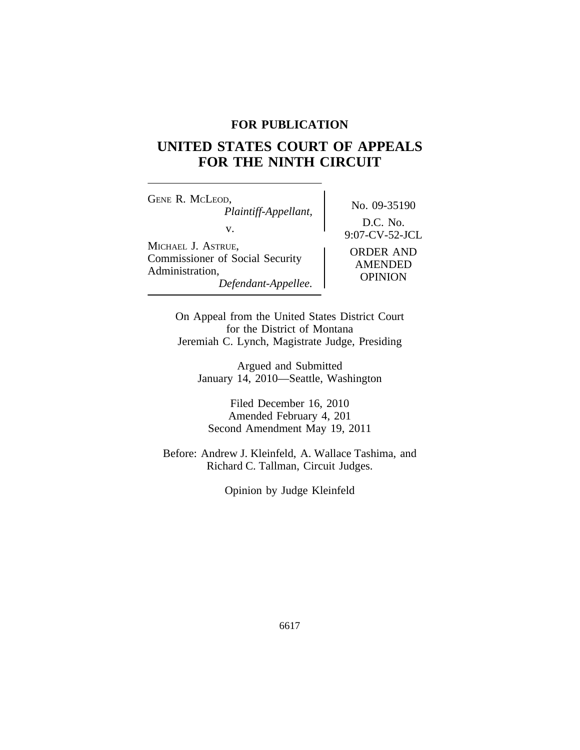## **FOR PUBLICATION**

# **UNITED STATES COURT OF APPEALS FOR THE NINTH CIRCUIT**

<sup>G</sup>ENE R. MCLEOD, No. 09-35190 *Plaintiff-Appellant,* v. 9:07-CV-52-JCL <sup>M</sup>ICHAEL J. ASTRUE, ORDER AND<br>
Commissioner of Social Security AMENDED<br>
Administration, *Defendant-Appellee.* OPINION

D.C. No.

On Appeal from the United States District Court for the District of Montana Jeremiah C. Lynch, Magistrate Judge, Presiding

Argued and Submitted January 14, 2010—Seattle, Washington

Filed December 16, 2010 Amended February 4, 201 Second Amendment May 19, 2011

Before: Andrew J. Kleinfeld, A. Wallace Tashima, and Richard C. Tallman, Circuit Judges.

Opinion by Judge Kleinfeld

6617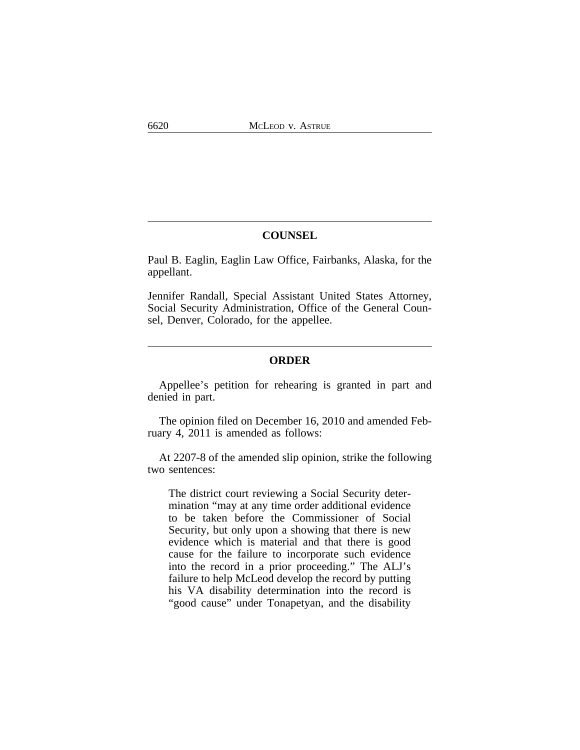## **COUNSEL**

Paul B. Eaglin, Eaglin Law Office, Fairbanks, Alaska, for the appellant.

Jennifer Randall, Special Assistant United States Attorney, Social Security Administration, Office of the General Counsel, Denver, Colorado, for the appellee.

### **ORDER**

Appellee's petition for rehearing is granted in part and denied in part.

The opinion filed on December 16, 2010 and amended February 4, 2011 is amended as follows:

At 2207-8 of the amended slip opinion, strike the following two sentences:

The district court reviewing a Social Security determination "may at any time order additional evidence to be taken before the Commissioner of Social Security, but only upon a showing that there is new evidence which is material and that there is good cause for the failure to incorporate such evidence into the record in a prior proceeding." The ALJ's failure to help McLeod develop the record by putting his VA disability determination into the record is "good cause" under Tonapetyan, and the disability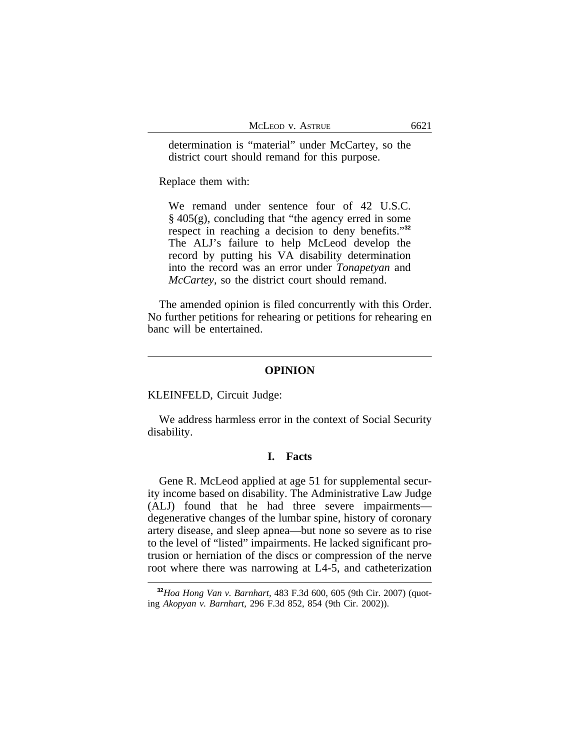determination is "material" under McCartey, so the district court should remand for this purpose.

Replace them with:

We remand under sentence four of 42 U.S.C. § 405(g), concluding that "the agency erred in some respect in reaching a decision to deny benefits." **32** The ALJ's failure to help McLeod develop the record by putting his VA disability determination into the record was an error under *Tonapetyan* and *McCartey*, so the district court should remand.

The amended opinion is filed concurrently with this Order. No further petitions for rehearing or petitions for rehearing en banc will be entertained.

#### **OPINION**

KLEINFELD, Circuit Judge:

We address harmless error in the context of Social Security disability.

#### **I. Facts**

Gene R. McLeod applied at age 51 for supplemental security income based on disability. The Administrative Law Judge (ALJ) found that he had three severe impairments degenerative changes of the lumbar spine, history of coronary artery disease, and sleep apnea—but none so severe as to rise to the level of "listed" impairments. He lacked significant protrusion or herniation of the discs or compression of the nerve root where there was narrowing at L4-5, and catheterization

**<sup>32</sup>***Hoa Hong Van v. Barnhart*, 483 F.3d 600, 605 (9th Cir. 2007) (quoting *Akopyan v. Barnhart*, 296 F.3d 852, 854 (9th Cir. 2002)).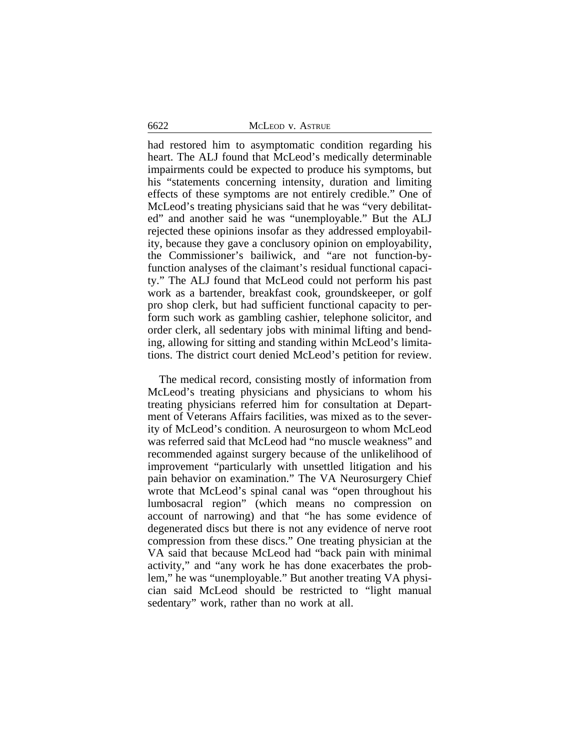had restored him to asymptomatic condition regarding his heart. The ALJ found that McLeod's medically determinable impairments could be expected to produce his symptoms, but his "statements concerning intensity, duration and limiting effects of these symptoms are not entirely credible." One of McLeod's treating physicians said that he was "very debilitated" and another said he was "unemployable." But the ALJ rejected these opinions insofar as they addressed employability, because they gave a conclusory opinion on employability, the Commissioner's bailiwick, and "are not function-byfunction analyses of the claimant's residual functional capacity." The ALJ found that McLeod could not perform his past work as a bartender, breakfast cook, groundskeeper, or golf pro shop clerk, but had sufficient functional capacity to perform such work as gambling cashier, telephone solicitor, and order clerk, all sedentary jobs with minimal lifting and bending, allowing for sitting and standing within McLeod's limitations. The district court denied McLeod's petition for review.

The medical record, consisting mostly of information from McLeod's treating physicians and physicians to whom his treating physicians referred him for consultation at Department of Veterans Affairs facilities, was mixed as to the severity of McLeod's condition. A neurosurgeon to whom McLeod was referred said that McLeod had "no muscle weakness" and recommended against surgery because of the unlikelihood of improvement "particularly with unsettled litigation and his pain behavior on examination." The VA Neurosurgery Chief wrote that McLeod's spinal canal was "open throughout his lumbosacral region" (which means no compression on account of narrowing) and that "he has some evidence of degenerated discs but there is not any evidence of nerve root compression from these discs." One treating physician at the VA said that because McLeod had "back pain with minimal activity," and "any work he has done exacerbates the problem," he was "unemployable." But another treating VA physician said McLeod should be restricted to "light manual sedentary" work, rather than no work at all.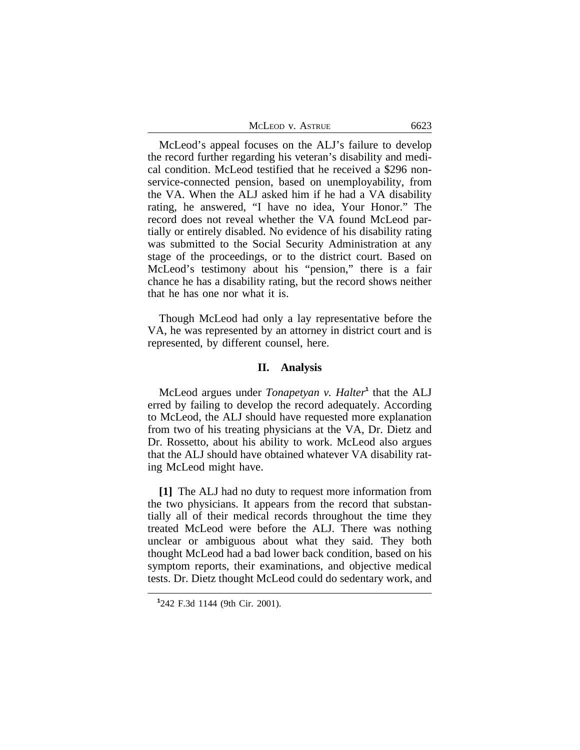| MCLEOD V. ASTRUE | 6623 |
|------------------|------|
|------------------|------|

McLeod's appeal focuses on the ALJ's failure to develop the record further regarding his veteran's disability and medical condition. McLeod testified that he received a \$296 nonservice-connected pension, based on unemployability, from the VA. When the ALJ asked him if he had a VA disability rating, he answered, "I have no idea, Your Honor." The record does not reveal whether the VA found McLeod partially or entirely disabled. No evidence of his disability rating was submitted to the Social Security Administration at any stage of the proceedings, or to the district court. Based on McLeod's testimony about his "pension," there is a fair chance he has a disability rating, but the record shows neither that he has one nor what it is.

Though McLeod had only a lay representative before the VA, he was represented by an attorney in district court and is represented, by different counsel, here.

## **II. Analysis**

McLeod argues under *Tonapetyan v. Halter*<sup>1</sup> that the ALJ erred by failing to develop the record adequately. According to McLeod, the ALJ should have requested more explanation from two of his treating physicians at the VA, Dr. Dietz and Dr. Rossetto, about his ability to work. McLeod also argues that the ALJ should have obtained whatever VA disability rating McLeod might have.

**[1]** The ALJ had no duty to request more information from the two physicians. It appears from the record that substantially all of their medical records throughout the time they treated McLeod were before the ALJ. There was nothing unclear or ambiguous about what they said. They both thought McLeod had a bad lower back condition, based on his symptom reports, their examinations, and objective medical tests. Dr. Dietz thought McLeod could do sedentary work, and

**<sup>1</sup>** 242 F.3d 1144 (9th Cir. 2001).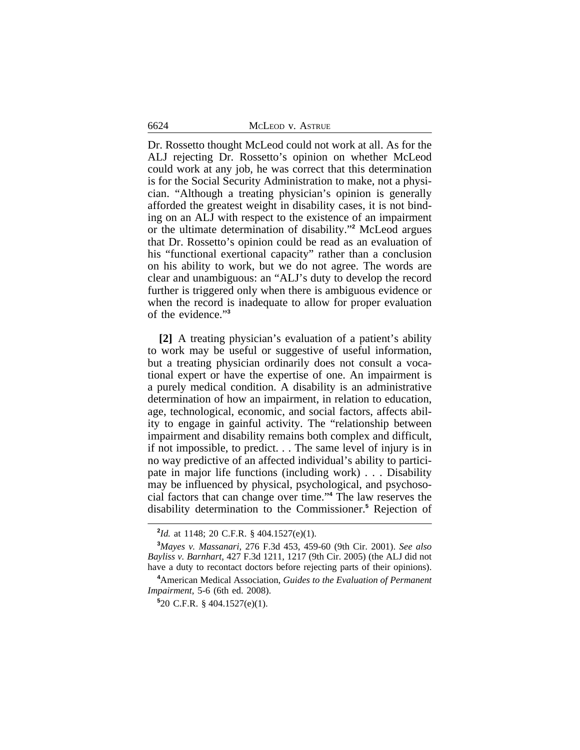6624 MCLEOD v. ASTRUE

Dr. Rossetto thought McLeod could not work at all. As for the ALJ rejecting Dr. Rossetto's opinion on whether McLeod could work at any job, he was correct that this determination is for the Social Security Administration to make, not a physician. "Although a treating physician's opinion is generally afforded the greatest weight in disability cases, it is not binding on an ALJ with respect to the existence of an impairment or the ultimate determination of disability." **2** McLeod argues that Dr. Rossetto's opinion could be read as an evaluation of his "functional exertional capacity" rather than a conclusion on his ability to work, but we do not agree. The words are clear and unambiguous: an "ALJ's duty to develop the record further is triggered only when there is ambiguous evidence or when the record is inadequate to allow for proper evaluation of the evidence." **3**

**[2]** A treating physician's evaluation of a patient's ability to work may be useful or suggestive of useful information, but a treating physician ordinarily does not consult a vocational expert or have the expertise of one. An impairment is a purely medical condition. A disability is an administrative determination of how an impairment, in relation to education, age, technological, economic, and social factors, affects ability to engage in gainful activity. The "relationship between impairment and disability remains both complex and difficult, if not impossible, to predict. . . The same level of injury is in no way predictive of an affected individual's ability to participate in major life functions (including work) . . . Disability may be influenced by physical, psychological, and psychosocial factors that can change over time." **4** The law reserves the disability determination to the Commissioner.**<sup>5</sup>** Rejection of

**<sup>2</sup>** *Id.* at 1148; 20 C.F.R. § 404.1527(e)(1).

**<sup>3</sup>***Mayes v. Massanari*, 276 F.3d 453, 459-60 (9th Cir. 2001). *See also Bayliss v. Barnhart*, 427 F.3d 1211, 1217 (9th Cir. 2005) (the ALJ did not have a duty to recontact doctors before rejecting parts of their opinions).

**<sup>4</sup>**American Medical Association, *Guides to the Evaluation of Permanent Impairment*, 5-6 (6th ed. 2008).

**<sup>5</sup>** 20 C.F.R. § 404.1527(e)(1).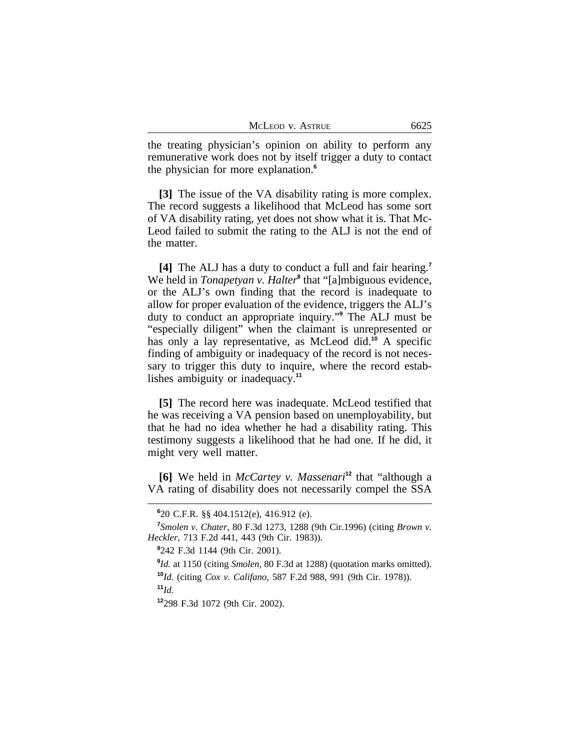the treating physician's opinion on ability to perform any remunerative work does not by itself trigger a duty to contact the physician for more explanation.**<sup>6</sup>**

**[3]** The issue of the VA disability rating is more complex. The record suggests a likelihood that McLeod has some sort of VA disability rating, yet does not show what it is. That Mc-Leod failed to submit the rating to the ALJ is not the end of the matter.

**[4]** The ALJ has a duty to conduct a full and fair hearing.**<sup>7</sup>** We held in *Tonapetyan v. Halter*<sup>8</sup> that "[a]mbiguous evidence, or the ALJ's own finding that the record is inadequate to allow for proper evaluation of the evidence, triggers the ALJ's duty to conduct an appropriate inquiry." **9** The ALJ must be "especially diligent" when the claimant is unrepresented or has only a lay representative, as McLeod did.**<sup>10</sup>** A specific finding of ambiguity or inadequacy of the record is not necessary to trigger this duty to inquire, where the record establishes ambiguity or inadequacy.**<sup>11</sup>**

**[5]** The record here was inadequate. McLeod testified that he was receiving a VA pension based on unemployability, but that he had no idea whether he had a disability rating. This testimony suggests a likelihood that he had one. If he did, it might very well matter.

**[6]** We held in *McCartey v. Massenari***<sup>12</sup>** that "although a VA rating of disability does not necessarily compel the SSA

**8** 242 F.3d 1144 (9th Cir. 2001).

**<sup>11</sup>***Id.*

**<sup>12</sup>**298 F.3d 1072 (9th Cir. 2002).

**<sup>6</sup>** 20 C.F.R. §§ 404.1512(e), 416.912 (e).

**<sup>7</sup>** *Smolen v. Chater*, 80 F.3d 1273, 1288 (9th Cir.1996) (citing *Brown v. Heckler*, 713 F.2d 441, 443 (9th Cir. 1983)).

<sup>&</sup>lt;sup>9</sup>*Id.* at 1150 (citing *Smolen*, 80 F.3d at 1288) (quotation marks omitted). **<sup>10</sup>***Id.* (citing *Cox v. Califano*, 587 F.2d 988, 991 (9th Cir. 1978)).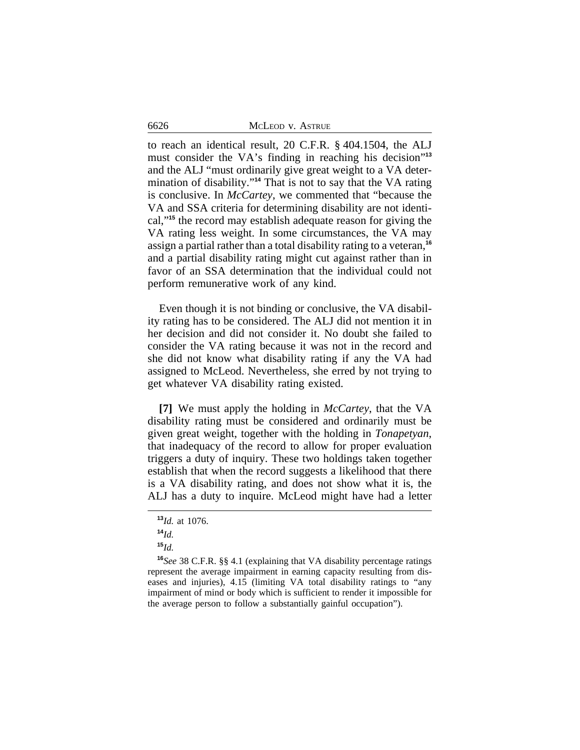6626 MCLEOD v. ASTRUE

to reach an identical result, 20 C.F.R. § 404.1504, the ALJ must consider the VA's finding in reaching his decision"<sup>13</sup> and the ALJ "must ordinarily give great weight to a VA determination of disability." **<sup>14</sup>** That is not to say that the VA rating is conclusive. In *McCartey*, we commented that "because the VA and SSA criteria for determining disability are not identical,"**<sup>15</sup>** the record may establish adequate reason for giving the VA rating less weight. In some circumstances, the VA may assign a partial rather than a total disability rating to a veteran,**<sup>16</sup>** and a partial disability rating might cut against rather than in favor of an SSA determination that the individual could not perform remunerative work of any kind.

Even though it is not binding or conclusive, the VA disability rating has to be considered. The ALJ did not mention it in her decision and did not consider it. No doubt she failed to consider the VA rating because it was not in the record and she did not know what disability rating if any the VA had assigned to McLeod. Nevertheless, she erred by not trying to get whatever VA disability rating existed.

**[7]** We must apply the holding in *McCartey*, that the VA disability rating must be considered and ordinarily must be given great weight, together with the holding in *Tonapetyan*, that inadequacy of the record to allow for proper evaluation triggers a duty of inquiry. These two holdings taken together establish that when the record suggests a likelihood that there is a VA disability rating, and does not show what it is, the ALJ has a duty to inquire. McLeod might have had a letter

**<sup>13</sup>***Id.* at 1076.

**<sup>14</sup>***Id.*

**<sup>15</sup>***Id.*

**<sup>16</sup>***See* 38 C.F.R. §§ 4.1 (explaining that VA disability percentage ratings represent the average impairment in earning capacity resulting from diseases and injuries), 4.15 (limiting VA total disability ratings to "any impairment of mind or body which is sufficient to render it impossible for the average person to follow a substantially gainful occupation").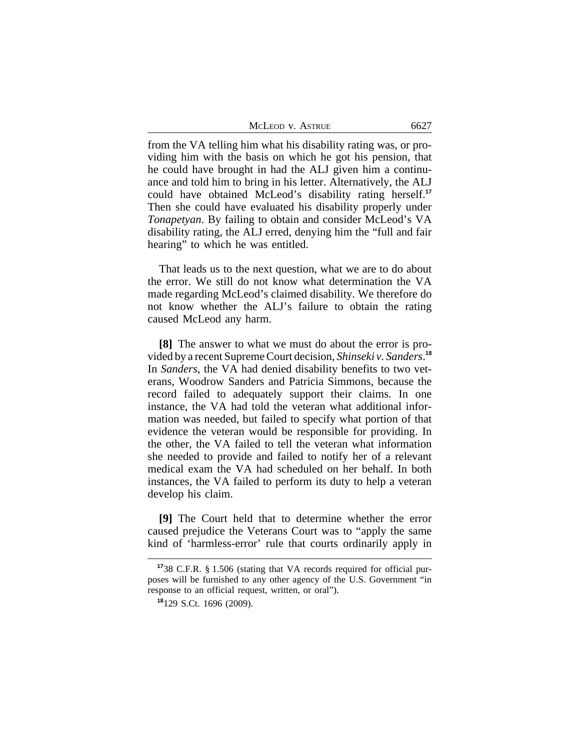| McLeod v. Astrue | 6627 |
|------------------|------|
|                  |      |

from the VA telling him what his disability rating was, or providing him with the basis on which he got his pension, that he could have brought in had the ALJ given him a continuance and told him to bring in his letter. Alternatively, the ALJ could have obtained McLeod's disability rating herself.**<sup>17</sup>** Then she could have evaluated his disability properly under *Tonapetyan*. By failing to obtain and consider McLeod's VA disability rating, the ALJ erred, denying him the "full and fair hearing" to which he was entitled.

That leads us to the next question, what we are to do about the error. We still do not know what determination the VA made regarding McLeod's claimed disability. We therefore do not know whether the ALJ's failure to obtain the rating caused McLeod any harm.

**[8]** The answer to what we must do about the error is provided by a recent Supreme Court decision, *Shinseki v. Sanders*. **18** In *Sanders*, the VA had denied disability benefits to two veterans, Woodrow Sanders and Patricia Simmons, because the record failed to adequately support their claims. In one instance, the VA had told the veteran what additional information was needed, but failed to specify what portion of that evidence the veteran would be responsible for providing. In the other, the VA failed to tell the veteran what information she needed to provide and failed to notify her of a relevant medical exam the VA had scheduled on her behalf. In both instances, the VA failed to perform its duty to help a veteran develop his claim.

**[9]** The Court held that to determine whether the error caused prejudice the Veterans Court was to "apply the same kind of 'harmless-error' rule that courts ordinarily apply in

**<sup>17</sup>**38 C.F.R. § 1.506 (stating that VA records required for official purposes will be furnished to any other agency of the U.S. Government "in response to an official request, written, or oral").

**<sup>18</sup>**129 S.Ct. 1696 (2009).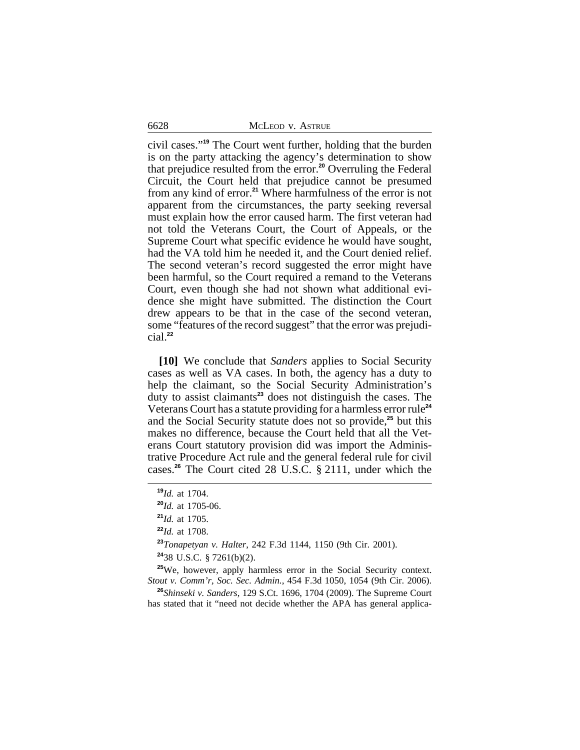civil cases." **<sup>19</sup>** The Court went further, holding that the burden is on the party attacking the agency's determination to show that prejudice resulted from the error.**<sup>20</sup>** Overruling the Federal Circuit, the Court held that prejudice cannot be presumed from any kind of error.**<sup>21</sup>** Where harmfulness of the error is not apparent from the circumstances, the party seeking reversal must explain how the error caused harm. The first veteran had not told the Veterans Court, the Court of Appeals, or the Supreme Court what specific evidence he would have sought, had the VA told him he needed it, and the Court denied relief. The second veteran's record suggested the error might have been harmful, so the Court required a remand to the Veterans Court, even though she had not shown what additional evidence she might have submitted. The distinction the Court drew appears to be that in the case of the second veteran, some "features of the record suggest" that the error was prejudicial.**<sup>22</sup>**

**[10]** We conclude that *Sanders* applies to Social Security cases as well as VA cases. In both, the agency has a duty to help the claimant, so the Social Security Administration's duty to assist claimants**<sup>23</sup>** does not distinguish the cases. The Veterans Court has a statute providing for a harmless error rule**<sup>24</sup>** and the Social Security statute does not so provide,**<sup>25</sup>** but this makes no difference, because the Court held that all the Veterans Court statutory provision did was import the Administrative Procedure Act rule and the general federal rule for civil cases.**<sup>26</sup>** The Court cited 28 U.S.C. § 2111, under which the

**<sup>23</sup>***Tonapetyan v. Halter*, 242 F.3d 1144, 1150 (9th Cir. 2001).

**<sup>24</sup>**38 U.S.C. § 7261(b)(2).

**<sup>25</sup>**We, however, apply harmless error in the Social Security context. *Stout v. Comm'r, Soc. Sec. Admin.*, 454 F.3d 1050, 1054 (9th Cir. 2006).

**<sup>26</sup>***Shinseki v. Sanders*, 129 S.Ct. 1696, 1704 (2009). The Supreme Court has stated that it "need not decide whether the APA has general applica-

**<sup>19</sup>***Id.* at 1704.

**<sup>20</sup>***Id.* at 1705-06.

**<sup>21</sup>***Id.* at 1705.

**<sup>22</sup>***Id.* at 1708.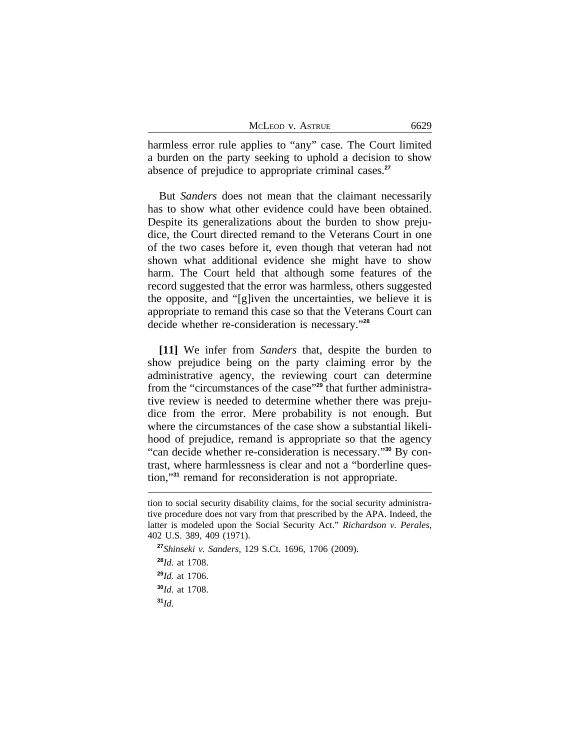| MCLEOD V. ASTRUE | 6629 |
|------------------|------|
|------------------|------|

harmless error rule applies to "any" case. The Court limited a burden on the party seeking to uphold a decision to show absence of prejudice to appropriate criminal cases.**<sup>27</sup>**

But *Sanders* does not mean that the claimant necessarily has to show what other evidence could have been obtained. Despite its generalizations about the burden to show prejudice, the Court directed remand to the Veterans Court in one of the two cases before it, even though that veteran had not shown what additional evidence she might have to show harm. The Court held that although some features of the record suggested that the error was harmless, others suggested the opposite, and "[g]iven the uncertainties, we believe it is appropriate to remand this case so that the Veterans Court can decide whether re-consideration is necessary." **28**

**[11]** We infer from *Sanders* that, despite the burden to show prejudice being on the party claiming error by the administrative agency, the reviewing court can determine from the "circumstances of the case" **29** that further administrative review is needed to determine whether there was prejudice from the error. Mere probability is not enough. But where the circumstances of the case show a substantial likelihood of prejudice, remand is appropriate so that the agency "can decide whether re-consideration is necessary." **30** By contrast, where harmlessness is clear and not a "borderline question,"**<sup>31</sup>** remand for reconsideration is not appropriate.

**<sup>27</sup>***Shinseki v. Sanders*, 129 S.Ct. 1696, 1706 (2009).

**<sup>28</sup>***Id.* at 1708. **<sup>29</sup>***Id.* at 1706.

**<sup>30</sup>***Id.* at 1708.

**<sup>31</sup>***Id.*

tion to social security disability claims, for the social security administrative procedure does not vary from that prescribed by the APA. Indeed, the latter is modeled upon the Social Security Act." *Richardson v. Perales*, 402 U.S. 389, 409 (1971).